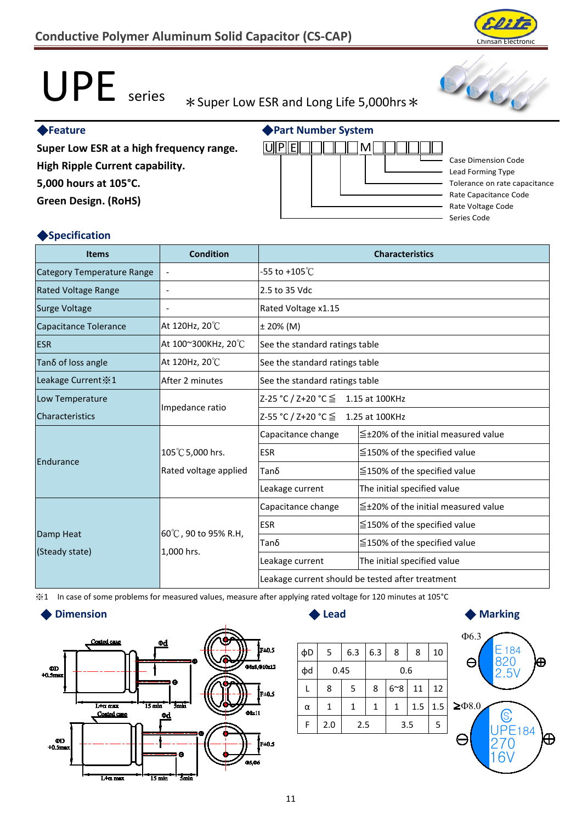# UPE series \*Super Low ESR and Long Life 5,000hrs \*

◆**Part Number System**

<u>uped i da m</u>

#### ◆**Feature**

**Super Low ESR at a high frequency range.**

**High Ripple Current capability. 5,000 hours at 105°C.**

**Green Design. (RoHS)**

### ◆**Specification**

| <b>Items</b>               | Condition                         | <b>Characteristics</b>                           |                                           |  |  |  |
|----------------------------|-----------------------------------|--------------------------------------------------|-------------------------------------------|--|--|--|
| Category Temperature Range | $\overline{\phantom{a}}$          | -55 to +105 $\rm ^{\circ}C$                      |                                           |  |  |  |
| <b>Rated Voltage Range</b> | $\overline{\phantom{a}}$          | 2.5 to 35 Vdc                                    |                                           |  |  |  |
| <b>Surge Voltage</b>       | $\qquad \qquad \blacksquare$      | Rated Voltage x1.15                              |                                           |  |  |  |
| Capacitance Tolerance      | At 120Hz, 20°C                    | ± 20% (M)                                        |                                           |  |  |  |
| <b>ESR</b>                 | At 100~300KHz, 20°C               | See the standard ratings table                   |                                           |  |  |  |
| Tanδ of loss angle         | At 120Hz, 20°C                    | See the standard ratings table                   |                                           |  |  |  |
| Leakage Current $\le 1$    | After 2 minutes                   | See the standard ratings table                   |                                           |  |  |  |
| Low Temperature            |                                   | Z-25 °C / Z+20 °C ≤ 1.15 at 100KHz               |                                           |  |  |  |
| Characteristics            | Impedance ratio                   | Z-55 °C / Z+20 °C ≤ 1.25 at 100KHz               |                                           |  |  |  |
|                            |                                   | Capacitance change                               | $\leq$ ±20% of the initial measured value |  |  |  |
| Endurance                  | 105℃ 5,000 hrs.                   | <b>ESR</b>                                       | $\leq$ 150% of the specified value        |  |  |  |
|                            | Rated voltage applied             | Tanδ                                             | $\leq$ 150% of the specified value        |  |  |  |
|                            |                                   | Leakage current                                  | The initial specified value               |  |  |  |
|                            | 60℃, 90 to 95% R.H,<br>1,000 hrs. | Capacitance change                               | $\leq$ +20% of the initial measured value |  |  |  |
|                            |                                   | <b>ESR</b>                                       | $\leq$ 150% of the specified value        |  |  |  |
| Damp Heat                  |                                   | Tanδ                                             | $\leq$ 150% of the specified value        |  |  |  |
| (Steady state)             |                                   | Leakage current                                  | The initial specified value               |  |  |  |
|                            |                                   | Leakage current should be tested after treatment |                                           |  |  |  |

※1 In case of some problems for measured values, measure after applying rated voltage for 120 minutes at 105°C

#### ◆ **Dimension** ◆ **Lead**













Case Dimension Code Lead Forming Type

Tolerance on rate capacitance Rate Capacitance Code Rate Voltage Code Series Code